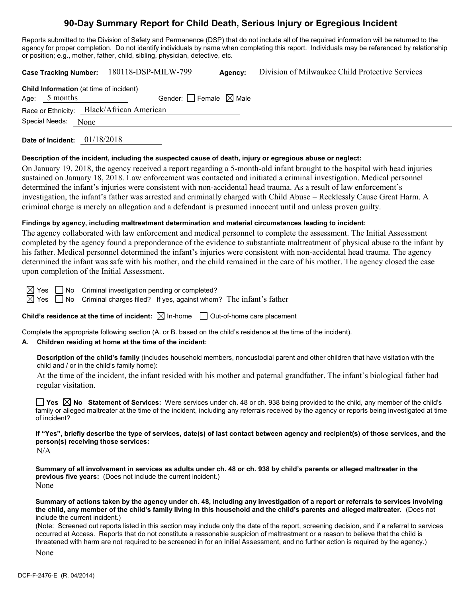# **90-Day Summary Report for Child Death, Serious Injury or Egregious Incident**

Reports submitted to the Division of Safety and Permanence (DSP) that do not include all of the required information will be returned to the agency for proper completion. Do not identify individuals by name when completing this report. Individuals may be referenced by relationship or position; e.g., mother, father, child, sibling, physician, detective, etc.

|                                                                                                          |                |      | Case Tracking Number: 180118-DSP-MILW-799 |  | Agency: | Division of Milwaukee Child Protective Services |  |
|----------------------------------------------------------------------------------------------------------|----------------|------|-------------------------------------------|--|---------|-------------------------------------------------|--|
| <b>Child Information</b> (at time of incident)<br>Age: $5$ months<br>Gender: $ $ Female $\boxtimes$ Male |                |      |                                           |  |         |                                                 |  |
| Race or Ethnicity: Black/African American                                                                |                |      |                                           |  |         |                                                 |  |
|                                                                                                          | Special Needs: | None |                                           |  |         |                                                 |  |
|                                                                                                          |                |      |                                           |  |         |                                                 |  |

**Date of Incident:** 01/18/2018

# **Description of the incident, including the suspected cause of death, injury or egregious abuse or neglect:**

On January 19, 2018, the agency received a report regarding a 5-month-old infant brought to the hospital with head injuries sustained on January 18, 2018. Law enforcement was contacted and initiated a criminal investigation. Medical personnel determined the infant's injuries were consistent with non-accidental head trauma. As a result of law enforcement's investigation, the infant's father was arrested and criminally charged with Child Abuse – Recklessly Cause Great Harm. A criminal charge is merely an allegation and a defendant is presumed innocent until and unless proven guilty.

# **Findings by agency, including maltreatment determination and material circumstances leading to incident:**

The agency collaborated with law enforcement and medical personnel to complete the assessment. The Initial Assessment completed by the agency found a preponderance of the evidence to substantiate maltreatment of physical abuse to the infant by his father. Medical personnel determined the infant's injuries were consistent with non-accidental head trauma. The agency determined the infant was safe with his mother, and the child remained in the care of his mother. The agency closed the case upon completion of the Initial Assessment.

 $\boxtimes$  Yes  $\Box$  No Criminal investigation pending or completed?

 $\boxtimes$  Yes  $\Box$  No Criminal charges filed? If yes, against whom? The infant's father

**Child's residence at the time of incident:**  $\boxtimes$  In-home  $\Box$  Out-of-home care placement

Complete the appropriate following section (A. or B. based on the child's residence at the time of the incident).

# **A. Children residing at home at the time of the incident:**

**Description of the child's family** (includes household members, noncustodial parent and other children that have visitation with the child and / or in the child's family home):

At the time of the incident, the infant resided with his mother and paternal grandfather. The infant's biological father had regular visitation.

**Yes No Statement of Services:** Were services under ch. 48 or ch. 938 being provided to the child, any member of the child's family or alleged maltreater at the time of the incident, including any referrals received by the agency or reports being investigated at time of incident?

**If "Yes", briefly describe the type of services, date(s) of last contact between agency and recipient(s) of those services, and the person(s) receiving those services:**

 $N/A$ 

**Summary of all involvement in services as adults under ch. 48 or ch. 938 by child's parents or alleged maltreater in the previous five years:** (Does not include the current incident.) None

**Summary of actions taken by the agency under ch. 48, including any investigation of a report or referrals to services involving the child, any member of the child's family living in this household and the child's parents and alleged maltreater.** (Does not include the current incident.)

(Note: Screened out reports listed in this section may include only the date of the report, screening decision, and if a referral to services occurred at Access. Reports that do not constitute a reasonable suspicion of maltreatment or a reason to believe that the child is threatened with harm are not required to be screened in for an Initial Assessment, and no further action is required by the agency.)

None